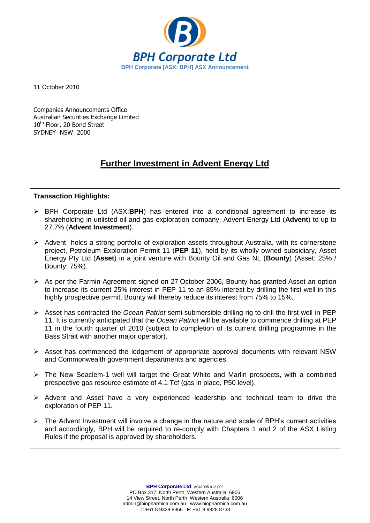

11 October 2010

Companies Announcements Office Australian Securities Exchange Limited 10<sup>th</sup> Floor, 20 Bond Street SYDNEY NSW 2000

# **Further Investment in Advent Energy Ltd**

### **Transaction Highlights:**

- BPH Corporate Ltd (ASX:**BPH**) has entered into a conditional agreement to increase its shareholding in unlisted oil and gas exploration company, Advent Energy Ltd (**Advent**) to up to 27.7% (**Advent Investment**).
- $\triangleright$  Advent holds a strong portfolio of exploration assets throughout Australia, with its cornerstone project, Petroleum Exploration Permit 11 (**PEP 11**), held by its wholly owned subsidiary, Asset Energy Pty Ltd (**Asset**) in a joint venture with Bounty Oil and Gas NL (**Bounty**) (Asset: 25% / Bounty: 75%).
- As per the Farmin Agreement signed on 27 October 2006, Bounty has granted Asset an option to increase its current 25% interest in PEP 11 to an 85% interest by drilling the first well in this highly prospective permit. Bounty will thereby reduce its interest from 75% to 15%.
- Asset has contracted the *Ocean Patriot* semi-submersible drilling rig to drill the first well in PEP 11. It is currently anticipated that the *Ocean Patriot* will be available to commence drilling at PEP 11 in the fourth quarter of 2010 (subject to completion of its current drilling programme in the Bass Strait with another major operator).
- $\triangleright$  Asset has commenced the lodgement of appropriate approval documents with relevant NSW and Commonwealth government departments and agencies.
- $\triangleright$  The New Seaclem-1 well will target the Great White and Marlin prospects, with a combined prospective gas resource estimate of 4.1 Tcf (gas in place, P50 level).
- $\triangleright$  Advent and Asset have a very experienced leadership and technical team to drive the exploration of PEP 11.
- $\triangleright$  The Advent Investment will involve a change in the nature and scale of BPH's current activities and accordingly, BPH will be required to re-comply with Chapters 1 and 2 of the ASX Listing Rules if the proposal is approved by shareholders.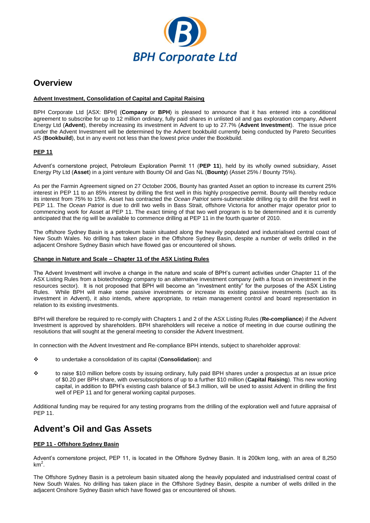

### **Overview**

#### **Advent Investment, Consolidation of Capital and Capital Raising**

BPH Corporate Ltd [ASX: BPH] (**Company** or **BPH**) is pleased to announce that it has entered into a conditional agreement to subscribe for up to 12 million ordinary, fully paid shares in unlisted oil and gas exploration company, Advent Energy Ltd (**Advent**), thereby increasing its investment in Advent to up to 27.7% (**Advent Investment**). The issue price under the Advent Investment will be determined by the Advent bookbuild currently being conducted by Pareto Securities AS (**Bookbuild**), but in any event not less than the lowest price under the Bookbuild.

#### **PEP 11**

Advent's cornerstone project, Petroleum Exploration Permit 11 (**PEP 11**), held by its wholly owned subsidiary, Asset Energy Pty Ltd (**Asset**) in a joint venture with Bounty Oil and Gas NL (**Bounty**) (Asset 25% / Bounty 75%).

As per the Farmin Agreement signed on 27 October 2006, Bounty has granted Asset an option to increase its current 25% interest in PEP 11 to an 85% interest by drilling the first well in this highly prospective permit. Bounty will thereby reduce its interest from 75% to 15%. Asset has contracted the *Ocean Patriot* semi-submersible drilling rig to drill the first well in PEP 11. The *Ocean Patriot* is due to drill two wells in Bass Strait, offshore Victoria for another major operator prior to commencing work for Asset at PEP 11. The exact timing of that two well program is to be determined and it is currently anticipated that the rig will be available to commence drilling at PEP 11 in the fourth quarter of 2010.

The offshore Sydney Basin is a petroleum basin situated along the heavily populated and industrialised central coast of New South Wales. No drilling has taken place in the Offshore Sydney Basin, despite a number of wells drilled in the adjacent Onshore Sydney Basin which have flowed gas or encountered oil shows.

#### **Change in Nature and Scale – Chapter 11 of the ASX Listing Rules**

The Advent Investment will involve a change in the nature and scale of BPH's current activities under Chapter 11 of the ASX Listing Rules from a biotechnology company to an alternative investment company (with a focus on investment in the resources sector). It is not proposed that BPH will become an "investment entity" for the purposes of the ASX Listing Rules. While BPH will make some passive investments or increase its existing passive investments (such as its investment in Advent), it also intends, where appropriate, to retain management control and board representation in relation to its existing investments.

BPH will therefore be required to re-comply with Chapters 1 and 2 of the ASX Listing Rules (**Re-compliance**) if the Advent Investment is approved by shareholders. BPH shareholders will receive a notice of meeting in due course outlining the resolutions that will sought at the general meeting to consider the Advent Investment.

In connection with the Advent Investment and Re-compliance BPH intends, subject to shareholder approval:

- to undertake a consolidation of its capital (**Consolidation**): and
- to raise \$10 million before costs by issuing ordinary, fully paid BPH shares under a prospectus at an issue price of \$0.20 per BPH share, with oversubscriptions of up to a further \$10 million (**Capital Raising**). This new working capital, in addition to BPH's existing cash balance of \$4.3 million, will be used to assist Advent in drilling the first well of PEP 11 and for general working capital purposes.

Additional funding may be required for any testing programs from the drilling of the exploration well and future appraisal of PEP 11.

## **Advent's Oil and Gas Assets**

#### **PEP 11 - Offshore Sydney Basin**

Advent's cornerstone project, PEP 11, is located in the Offshore Sydney Basin. It is 200km long, with an area of 8,250  $km<sup>2</sup>$ .

The Offshore Sydney Basin is a petroleum basin situated along the heavily populated and industrialised central coast of New South Wales. No drilling has taken place in the Offshore Sydney Basin, despite a number of wells drilled in the adjacent Onshore Sydney Basin which have flowed gas or encountered oil shows.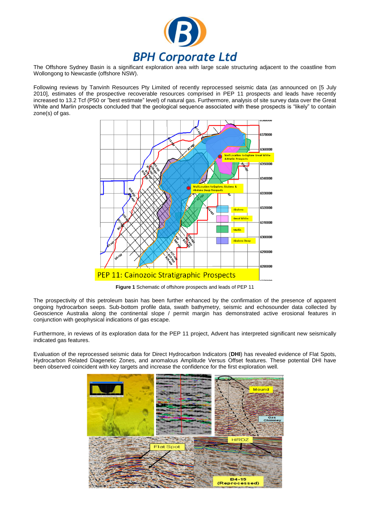

The Offshore Sydney Basin is a significant exploration area with large scale structuring adjacent to the coastline from Wollongong to Newcastle (offshore NSW).

Following reviews by Tanvinh Resources Pty Limited of recently reprocessed seismic data (as announced on [5 July 2010], estimates of the prospective recoverable resources comprised in PEP 11 prospects and leads have recently increased to 13.2 Tcf (P50 or "best estimate" level) of natural gas. Furthermore, analysis of site survey data over the Great White and Marlin prospects concluded that the geological sequence associated with these prospects is "likely" to contain zone(s) of gas.



**Figure 1** Schematic of offshore prospects and leads of PEP 11

The prospectivity of this petroleum basin has been further enhanced by the confirmation of the presence of apparent ongoing hydrocarbon seeps. Sub-bottom profile data, swath bathymetry, seismic and echosounder data collected by Geoscience Australia along the continental slope / permit margin has demonstrated active erosional features in conjunction with geophysical indications of gas escape.

Furthermore, in reviews of its exploration data for the PEP 11 project, Advent has interpreted significant new seismically indicated gas features.

Evaluation of the reprocessed seismic data for Direct Hydrocarbon Indicators (**DHI**) has revealed evidence of Flat Spots, Hydrocarbon Related Diagenetic Zones, and anomalous Amplitude Versus Offset features. These potential DHI have been observed coincident with key targets and increase the confidence for the first exploration well.

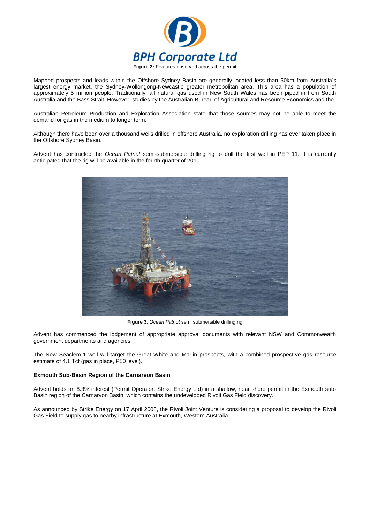

Mapped prospects and leads within the Offshore Sydney Basin are generally located less than 50km from Australia's largest energy market, the Sydney-Wollongong-Newcastle greater metropolitan area. This area has a population of approximately 5 million people. Traditionally, all natural gas used in New South Wales has been piped in from South Australia and the Bass Strait. However, studies by the Australian Bureau of Agricultural and Resource Economics and the

Australian Petroleum Production and Exploration Association state that those sources may not be able to meet the demand for gas in the medium to longer term.

Although there have been over a thousand wells drilled in offshore Australia, no exploration drilling has ever taken place in the Offshore Sydney Basin.

Advent has contracted the *Ocean Patriot* semi-submersible drilling rig to drill the first well in PEP 11. It is currently anticipated that the rig will be available in the fourth quarter of 2010.



**Figure 3**: *Ocean Patriot* semi submersible drilling rig

Advent has commenced the lodgement of appropriate approval documents with relevant NSW and Commonwealth government departments and agencies.

The New Seaclem-1 well will target the Great White and Marlin prospects, with a combined prospective gas resource estimate of 4.1 Tcf (gas in place, P50 level).

#### **Exmouth Sub-Basin Region of the Carnarvon Basin**

Advent holds an 8.3% interest (Permit Operator: Strike Energy Ltd) in a shallow, near shore permit in the Exmouth sub-Basin region of the Carnarvon Basin, which contains the undeveloped Rivoli Gas Field discovery.

As announced by Strike Energy on 17 April 2008, the Rivoli Joint Venture is considering a proposal to develop the Rivoli Gas Field to supply gas to nearby infrastructure at Exmouth, Western Australia.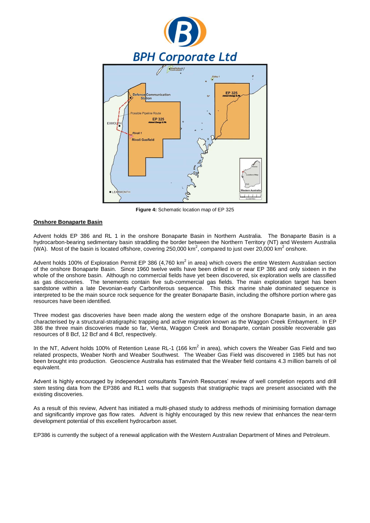

**Figure 4:** Schematic location map of EP 325

#### **Onshore Bonaparte Basin**

Advent holds EP 386 and RL 1 in the onshore Bonaparte Basin in Northern Australia. The Bonaparte Basin is a hydrocarbon-bearing sedimentary basin straddling the border between the Northern Territory (NT) and Western Australia (WA). Most of the basin is located offshore, covering 250,000 km<sup>2</sup>, compared to just over 20,000 km<sup>2</sup> onshore.

Advent holds 100% of Exploration Permit EP 386 (4,760 km<sup>2</sup> in area) which covers the entire Western Australian section of the onshore Bonaparte Basin. Since 1960 twelve wells have been drilled in or near EP 386 and only sixteen in the whole of the onshore basin. Although no commercial fields have yet been discovered, six exploration wells are classified as gas discoveries. The tenements contain five sub-commercial gas fields. The main exploration target has been sandstone within a late Devonian-early Carboniferous sequence. This thick marine shale dominated sequence is interpreted to be the main source rock sequence for the greater Bonaparte Basin, including the offshore portion where gas resources have been identified.

Three modest gas discoveries have been made along the western edge of the onshore Bonaparte basin, in an area characterised by a structural-stratigraphic trapping and active migration known as the Waggon Creek Embayment. In EP 386 the three main discoveries made so far, Vienta, Waggon Creek and Bonaparte, contain possible recoverable gas resources of 8 Bcf, 12 Bcf and 4 Bcf, respectively.

In the NT, Advent holds 100% of Retention Lease RL-1 (166 km<sup>2</sup> in area), which covers the Weaber Gas Field and two related prospects, Weaber North and Weaber Southwest. The Weaber Gas Field was discovered in 1985 but has not been brought into production. Geoscience Australia has estimated that the Weaber field contains 4.3 million barrels of oil equivalent.

Advent is highly encouraged by independent consultants Tanvinh Resources' review of well completion reports and drill stem testing data from the EP386 and RL1 wells that suggests that stratigraphic traps are present associated with the existing discoveries.

As a result of this review, Advent has initiated a multi-phased study to address methods of minimising formation damage and significantly improve gas flow rates. Advent is highly encouraged by this new review that enhances the near-term development potential of this excellent hydrocarbon asset.

EP386 is currently the subject of a renewal application with the Western Australian Department of Mines and Petroleum.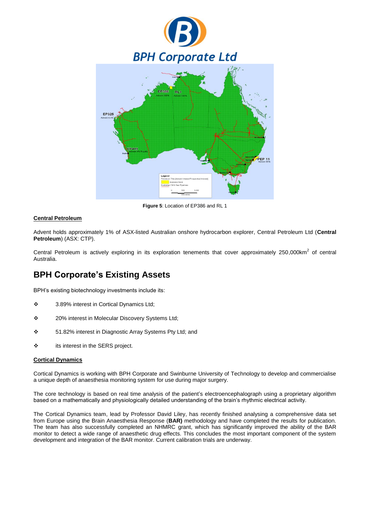

**Figure 5**: Location of EP386 and RL 1

#### **Central Petroleum**

Advent holds approximately 1% of ASX-listed Australian onshore hydrocarbon explorer, Central Petroleum Ltd (**Central Petroleum**) (ASX: CTP).

Central Petroleum is actively exploring in its exploration tenements that cover approximately 250,000 $km^2$  of central Australia.

# **BPH Corporate's Existing Assets**

BPH's existing biotechnology investments include its:

- 3.89% interest in Cortical Dynamics Ltd;
- 20% interest in Molecular Discovery Systems Ltd;
- 51.82% interest in Diagnostic Array Systems Pty Ltd; and
- its interest in the SERS project.

#### **Cortical Dynamics**

Cortical Dynamics is working with BPH Corporate and Swinburne University of Technology to develop and commercialise a unique depth of anaesthesia monitoring system for use during major surgery.

The core technology is based on real time analysis of the patient's electroencephalograph using a proprietary algorithm based on a mathematically and physiologically detailed understanding of the brain's rhythmic electrical activity.

The Cortical Dynamics team, lead by Professor David Liley, has recently finished analysing a comprehensive data set from Europe using the Brain Anaesthesia Response (**BAR)** methodology and have completed the results for publication. The team has also successfully completed an NHMRC grant, which has significantly improved the ability of the BAR monitor to detect a wide range of anaesthetic drug effects. This concludes the most important component of the system development and integration of the BAR monitor. Current calibration trials are underway.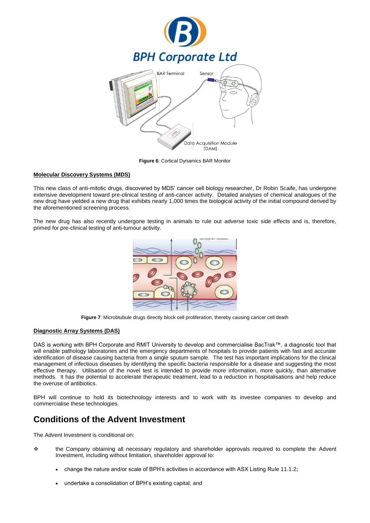

**Figure 6**: Cortical Dynamics BAR Monitor

#### **Molecular Discovery Systems (MDS)**

This new class of anti-mitotic drugs, discovered by MDS' cancer cell biology researcher, Dr Robin Scaife, has undergone extensive development toward pre-clinical testing of anti-cancer activity. Detailed analyses of chemical analogues of the new drug have yielded a new drug that exhibits nearly 1,000 times the biological activity of the initial compound derived by the aforementioned screening process.

The new drug has also recently undergone testing in animals to rule out adverse toxic side effects and is, therefore, primed for pre-clinical testing of anti-tumour activity.



Figure 7: Microbtubule drugs directly block cell proliferation, thereby causing cancer cell death

#### **Diagnostic Array Systems (DAS)**

DAS is working with BPH Corporate and RMIT University to develop and commercialise BacTrak™, a diagnostic tool that will enable pathology laboratories and the emergency departments of hospitals to provide patients with fast and accurate identification of disease causing bacteria from a single sputum sample. The test has important implications for the clinical management of infectious diseases by identifying the specific bacteria responsible for a disease and suggesting the most effective therapy. Utilisation of the novel test is intended to provide more information, more quickly, than alternative methods. It has the potential to accelerate therapeutic treatment, lead to a reduction in hospitalisations and help reduce the overuse of antibiotics.

BPH will continue to hold its biotechnology interests and to work with its investee companies to develop and commercialise these technologies.

## **Conditions of the Advent Investment**

The Advent Investment is conditional on:

- the Company obtaining all necessary regulatory and shareholder approvals required to complete the Advent Investment, including without limitation, shareholder approval to:
	- change the nature and/or scale of BPH's activities in accordance with ASX Listing Rule 11.1.2;
	- undertake a consolidation of BPH's existing capital; and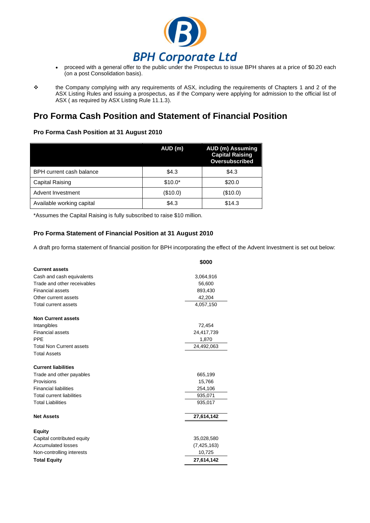

**PRI Corporate Ltd**<br>• proceed with a general offer to the public under the Prospectus to issue BPH shares at a price of \$0.20 each (on a post Consolidation basis).

# **Pro Forma Cash Position and Statement of Financial Position**

### **Pro Forma Cash Position at 31 August 2010**

|                                 | AUD (m)  | <b>AUD (m) Assuming</b><br><b>Capital Raising</b><br>Oversubscribed |
|---------------------------------|----------|---------------------------------------------------------------------|
| <b>BPH</b> current cash balance | \$4.3    | \$4.3                                                               |
| Capital Raising                 | $$10.0*$ | \$20.0                                                              |
| Advent Investment               | (\$10.0) | (\$10.0)                                                            |
| Available working capital       | \$4.3    | \$14.3                                                              |

\*Assumes the Capital Raising is fully subscribed to raise \$10 million.

### **Pro Forma Statement of Financial Position at 31 August 2010**

A draft pro forma statement of financial position for BPH incorporating the effect of the Advent Investment is set out below:

|                                  | \$000         |
|----------------------------------|---------------|
| <b>Current assets</b>            |               |
| Cash and cash equivalents        | 3,064,916     |
| Trade and other receivables      | 56,600        |
| <b>Financial assets</b>          | 893,430       |
| Other current assets             | 42,204        |
| <b>Total current assets</b>      | 4,057,150     |
| <b>Non Current assets</b>        |               |
| Intangibles                      | 72,454        |
| <b>Financial assets</b>          | 24,417,739    |
| <b>PPE</b>                       | 1,870         |
| <b>Total Non Current assets</b>  | 24,492,063    |
| <b>Total Assets</b>              |               |
| <b>Current liabilities</b>       |               |
| Trade and other payables         | 665,199       |
| Provisions                       | 15,766        |
| <b>Financial liabilities</b>     | 254,106       |
| <b>Total current liabilities</b> | 935,071       |
| <b>Total Liabilities</b>         | 935,017       |
| <b>Net Assets</b>                | 27,614,142    |
| <b>Equity</b>                    |               |
| Capital contributed equity       | 35,028,580    |
| <b>Accumulated losses</b>        | (7, 425, 163) |
| Non-controlling interests        | 10,725        |
| <b>Total Equity</b>              | 27,614,142    |

the Company complying with any requirements of ASX, including the requirements of Chapters 1 and 2 of the ASX Listing Rules and issuing a prospectus, as if the Company were applying for admission to the official list of ASX ( as required by ASX Listing Rule 11.1.3).